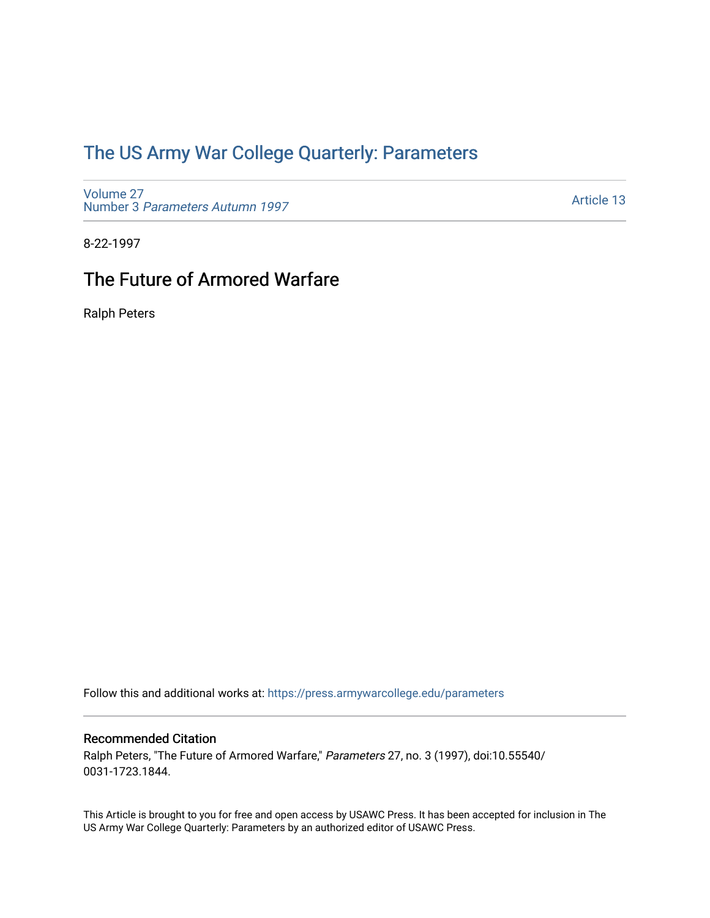## [The US Army War College Quarterly: Parameters](https://press.armywarcollege.edu/parameters)

[Volume 27](https://press.armywarcollege.edu/parameters/vol27) Number 3 [Parameters Autumn 1997](https://press.armywarcollege.edu/parameters/vol27/iss3)

[Article 13](https://press.armywarcollege.edu/parameters/vol27/iss3/13) 

8-22-1997

## The Future of Armored Warfare

Ralph Peters

Follow this and additional works at: [https://press.armywarcollege.edu/parameters](https://press.armywarcollege.edu/parameters?utm_source=press.armywarcollege.edu%2Fparameters%2Fvol27%2Fiss3%2F13&utm_medium=PDF&utm_campaign=PDFCoverPages) 

#### Recommended Citation

Ralph Peters, "The Future of Armored Warfare," Parameters 27, no. 3 (1997), doi:10.55540/ 0031-1723.1844.

This Article is brought to you for free and open access by USAWC Press. It has been accepted for inclusion in The US Army War College Quarterly: Parameters by an authorized editor of USAWC Press.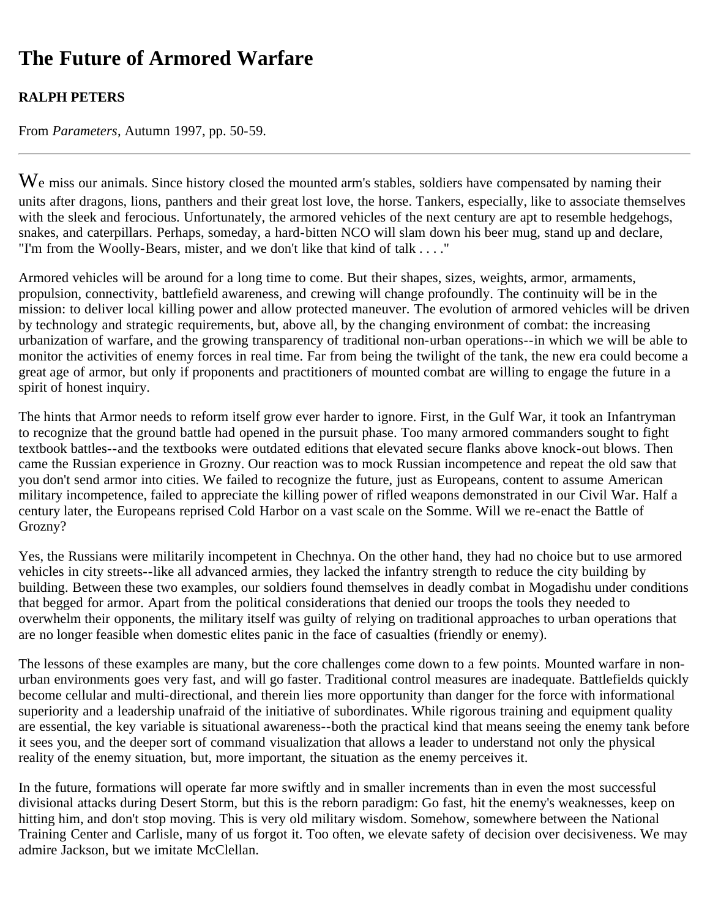# **The Future of Armored Warfare**

### **RALPH PETERS**

From *Parameters*, Autumn 1997, pp. 50-59.

We miss our animals. Since history closed the mounted arm's stables, soldiers have compensated by naming their units after dragons, lions, panthers and their great lost love, the horse. Tankers, especially, like to associate themselves with the sleek and ferocious. Unfortunately, the armored vehicles of the next century are apt to resemble hedgehogs, snakes, and caterpillars. Perhaps, someday, a hard-bitten NCO will slam down his beer mug, stand up and declare, "I'm from the Woolly-Bears, mister, and we don't like that kind of talk . . . ."

Armored vehicles will be around for a long time to come. But their shapes, sizes, weights, armor, armaments, propulsion, connectivity, battlefield awareness, and crewing will change profoundly. The continuity will be in the mission: to deliver local killing power and allow protected maneuver. The evolution of armored vehicles will be driven by technology and strategic requirements, but, above all, by the changing environment of combat: the increasing urbanization of warfare, and the growing transparency of traditional non-urban operations--in which we will be able to monitor the activities of enemy forces in real time. Far from being the twilight of the tank, the new era could become a great age of armor, but only if proponents and practitioners of mounted combat are willing to engage the future in a spirit of honest inquiry.

The hints that Armor needs to reform itself grow ever harder to ignore. First, in the Gulf War, it took an Infantryman to recognize that the ground battle had opened in the pursuit phase. Too many armored commanders sought to fight textbook battles--and the textbooks were outdated editions that elevated secure flanks above knock-out blows. Then came the Russian experience in Grozny. Our reaction was to mock Russian incompetence and repeat the old saw that you don't send armor into cities. We failed to recognize the future, just as Europeans, content to assume American military incompetence, failed to appreciate the killing power of rifled weapons demonstrated in our Civil War. Half a century later, the Europeans reprised Cold Harbor on a vast scale on the Somme. Will we re-enact the Battle of Grozny?

Yes, the Russians were militarily incompetent in Chechnya. On the other hand, they had no choice but to use armored vehicles in city streets--like all advanced armies, they lacked the infantry strength to reduce the city building by building. Between these two examples, our soldiers found themselves in deadly combat in Mogadishu under conditions that begged for armor. Apart from the political considerations that denied our troops the tools they needed to overwhelm their opponents, the military itself was guilty of relying on traditional approaches to urban operations that are no longer feasible when domestic elites panic in the face of casualties (friendly or enemy).

The lessons of these examples are many, but the core challenges come down to a few points. Mounted warfare in nonurban environments goes very fast, and will go faster. Traditional control measures are inadequate. Battlefields quickly become cellular and multi-directional, and therein lies more opportunity than danger for the force with informational superiority and a leadership unafraid of the initiative of subordinates. While rigorous training and equipment quality are essential, the key variable is situational awareness--both the practical kind that means seeing the enemy tank before it sees you, and the deeper sort of command visualization that allows a leader to understand not only the physical reality of the enemy situation, but, more important, the situation as the enemy perceives it.

In the future, formations will operate far more swiftly and in smaller increments than in even the most successful divisional attacks during Desert Storm, but this is the reborn paradigm: Go fast, hit the enemy's weaknesses, keep on hitting him, and don't stop moving. This is very old military wisdom. Somehow, somewhere between the National Training Center and Carlisle, many of us forgot it. Too often, we elevate safety of decision over decisiveness. We may admire Jackson, but we imitate McClellan.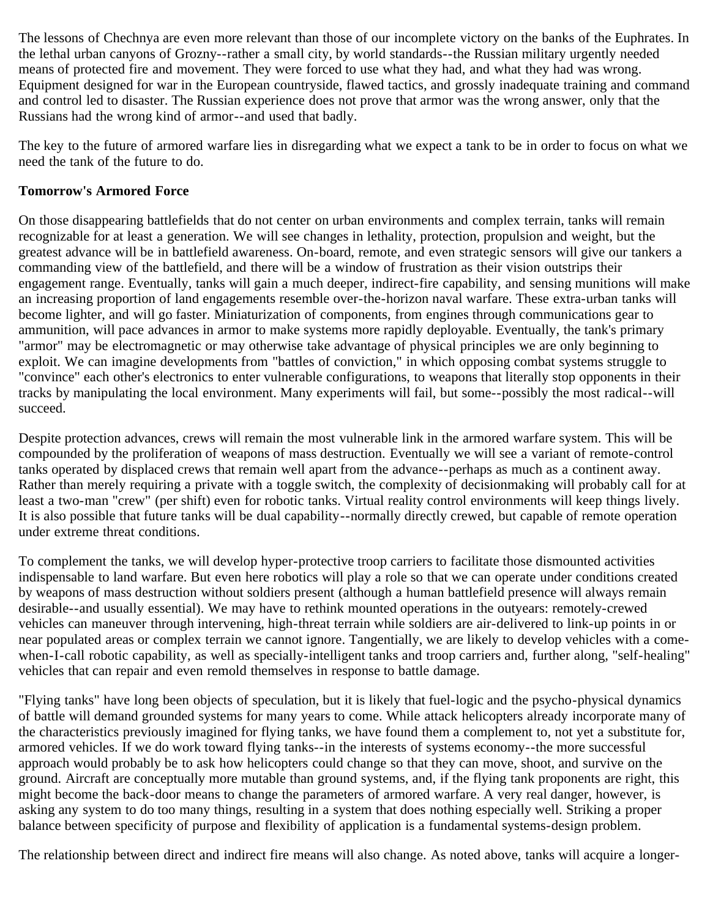The lessons of Chechnya are even more relevant than those of our incomplete victory on the banks of the Euphrates. In the lethal urban canyons of Grozny--rather a small city, by world standards--the Russian military urgently needed means of protected fire and movement. They were forced to use what they had, and what they had was wrong. Equipment designed for war in the European countryside, flawed tactics, and grossly inadequate training and command and control led to disaster. The Russian experience does not prove that armor was the wrong answer, only that the Russians had the wrong kind of armor--and used that badly.

The key to the future of armored warfare lies in disregarding what we expect a tank to be in order to focus on what we need the tank of the future to do.

### **Tomorrow's Armored Force**

On those disappearing battlefields that do not center on urban environments and complex terrain, tanks will remain recognizable for at least a generation. We will see changes in lethality, protection, propulsion and weight, but the greatest advance will be in battlefield awareness. On-board, remote, and even strategic sensors will give our tankers a commanding view of the battlefield, and there will be a window of frustration as their vision outstrips their engagement range. Eventually, tanks will gain a much deeper, indirect-fire capability, and sensing munitions will make an increasing proportion of land engagements resemble over-the-horizon naval warfare. These extra-urban tanks will become lighter, and will go faster. Miniaturization of components, from engines through communications gear to ammunition, will pace advances in armor to make systems more rapidly deployable. Eventually, the tank's primary "armor" may be electromagnetic or may otherwise take advantage of physical principles we are only beginning to exploit. We can imagine developments from "battles of conviction," in which opposing combat systems struggle to "convince" each other's electronics to enter vulnerable configurations, to weapons that literally stop opponents in their tracks by manipulating the local environment. Many experiments will fail, but some--possibly the most radical--will succeed.

Despite protection advances, crews will remain the most vulnerable link in the armored warfare system. This will be compounded by the proliferation of weapons of mass destruction. Eventually we will see a variant of remote-control tanks operated by displaced crews that remain well apart from the advance--perhaps as much as a continent away. Rather than merely requiring a private with a toggle switch, the complexity of decisionmaking will probably call for at least a two-man "crew" (per shift) even for robotic tanks. Virtual reality control environments will keep things lively. It is also possible that future tanks will be dual capability--normally directly crewed, but capable of remote operation under extreme threat conditions.

To complement the tanks, we will develop hyper-protective troop carriers to facilitate those dismounted activities indispensable to land warfare. But even here robotics will play a role so that we can operate under conditions created by weapons of mass destruction without soldiers present (although a human battlefield presence will always remain desirable--and usually essential). We may have to rethink mounted operations in the outyears: remotely-crewed vehicles can maneuver through intervening, high-threat terrain while soldiers are air-delivered to link-up points in or near populated areas or complex terrain we cannot ignore. Tangentially, we are likely to develop vehicles with a comewhen-I-call robotic capability, as well as specially-intelligent tanks and troop carriers and, further along, "self-healing" vehicles that can repair and even remold themselves in response to battle damage.

"Flying tanks" have long been objects of speculation, but it is likely that fuel-logic and the psycho-physical dynamics of battle will demand grounded systems for many years to come. While attack helicopters already incorporate many of the characteristics previously imagined for flying tanks, we have found them a complement to, not yet a substitute for, armored vehicles. If we do work toward flying tanks--in the interests of systems economy--the more successful approach would probably be to ask how helicopters could change so that they can move, shoot, and survive on the ground. Aircraft are conceptually more mutable than ground systems, and, if the flying tank proponents are right, this might become the back-door means to change the parameters of armored warfare. A very real danger, however, is asking any system to do too many things, resulting in a system that does nothing especially well. Striking a proper balance between specificity of purpose and flexibility of application is a fundamental systems-design problem.

The relationship between direct and indirect fire means will also change. As noted above, tanks will acquire a longer-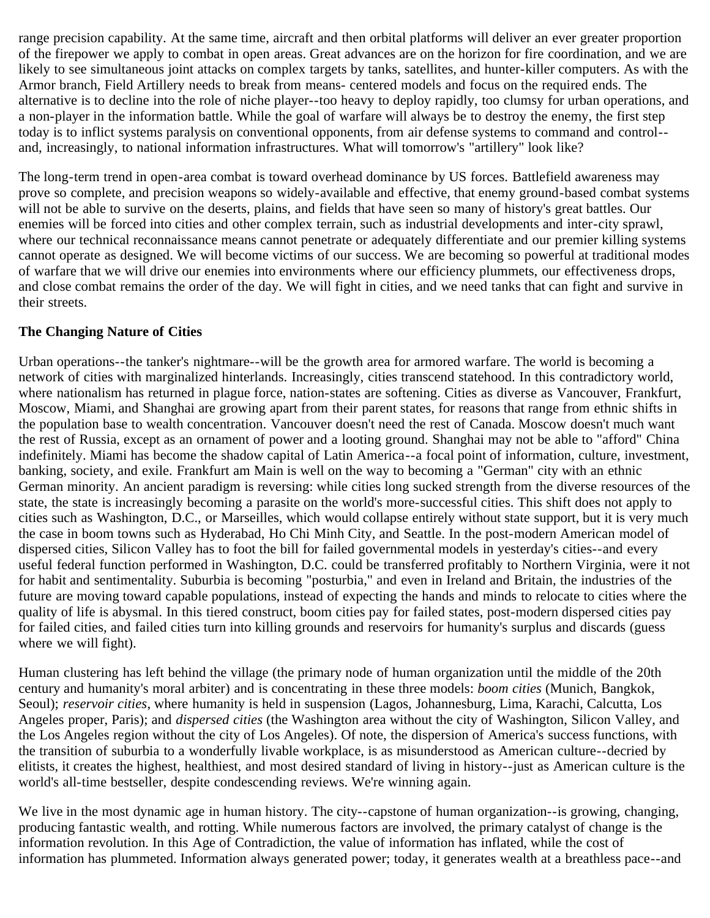range precision capability. At the same time, aircraft and then orbital platforms will deliver an ever greater proportion of the firepower we apply to combat in open areas. Great advances are on the horizon for fire coordination, and we are likely to see simultaneous joint attacks on complex targets by tanks, satellites, and hunter-killer computers. As with the Armor branch, Field Artillery needs to break from means- centered models and focus on the required ends. The alternative is to decline into the role of niche player--too heavy to deploy rapidly, too clumsy for urban operations, and a non-player in the information battle. While the goal of warfare will always be to destroy the enemy, the first step today is to inflict systems paralysis on conventional opponents, from air defense systems to command and control- and, increasingly, to national information infrastructures. What will tomorrow's "artillery" look like?

The long-term trend in open-area combat is toward overhead dominance by US forces. Battlefield awareness may prove so complete, and precision weapons so widely-available and effective, that enemy ground-based combat systems will not be able to survive on the deserts, plains, and fields that have seen so many of history's great battles. Our enemies will be forced into cities and other complex terrain, such as industrial developments and inter-city sprawl, where our technical reconnaissance means cannot penetrate or adequately differentiate and our premier killing systems cannot operate as designed. We will become victims of our success. We are becoming so powerful at traditional modes of warfare that we will drive our enemies into environments where our efficiency plummets, our effectiveness drops, and close combat remains the order of the day. We will fight in cities, and we need tanks that can fight and survive in their streets.

#### **The Changing Nature of Cities**

Urban operations--the tanker's nightmare--will be the growth area for armored warfare. The world is becoming a network of cities with marginalized hinterlands. Increasingly, cities transcend statehood. In this contradictory world, where nationalism has returned in plague force, nation-states are softening. Cities as diverse as Vancouver, Frankfurt, Moscow, Miami, and Shanghai are growing apart from their parent states, for reasons that range from ethnic shifts in the population base to wealth concentration. Vancouver doesn't need the rest of Canada. Moscow doesn't much want the rest of Russia, except as an ornament of power and a looting ground. Shanghai may not be able to "afford" China indefinitely. Miami has become the shadow capital of Latin America--a focal point of information, culture, investment, banking, society, and exile. Frankfurt am Main is well on the way to becoming a "German" city with an ethnic German minority. An ancient paradigm is reversing: while cities long sucked strength from the diverse resources of the state, the state is increasingly becoming a parasite on the world's more-successful cities. This shift does not apply to cities such as Washington, D.C., or Marseilles, which would collapse entirely without state support, but it is very much the case in boom towns such as Hyderabad, Ho Chi Minh City, and Seattle. In the post-modern American model of dispersed cities, Silicon Valley has to foot the bill for failed governmental models in yesterday's cities--and every useful federal function performed in Washington, D.C. could be transferred profitably to Northern Virginia, were it not for habit and sentimentality. Suburbia is becoming "posturbia," and even in Ireland and Britain, the industries of the future are moving toward capable populations, instead of expecting the hands and minds to relocate to cities where the quality of life is abysmal. In this tiered construct, boom cities pay for failed states, post-modern dispersed cities pay for failed cities, and failed cities turn into killing grounds and reservoirs for humanity's surplus and discards (guess where we will fight).

Human clustering has left behind the village (the primary node of human organization until the middle of the 20th century and humanity's moral arbiter) and is concentrating in these three models: *boom cities* (Munich, Bangkok, Seoul); *reservoir cities*, where humanity is held in suspension (Lagos, Johannesburg, Lima, Karachi, Calcutta, Los Angeles proper, Paris); and *dispersed cities* (the Washington area without the city of Washington, Silicon Valley, and the Los Angeles region without the city of Los Angeles). Of note, the dispersion of America's success functions, with the transition of suburbia to a wonderfully livable workplace, is as misunderstood as American culture--decried by elitists, it creates the highest, healthiest, and most desired standard of living in history--just as American culture is the world's all-time bestseller, despite condescending reviews. We're winning again.

We live in the most dynamic age in human history. The city--capstone of human organization--is growing, changing, producing fantastic wealth, and rotting. While numerous factors are involved, the primary catalyst of change is the information revolution. In this Age of Contradiction, the value of information has inflated, while the cost of information has plummeted. Information always generated power; today, it generates wealth at a breathless pace--and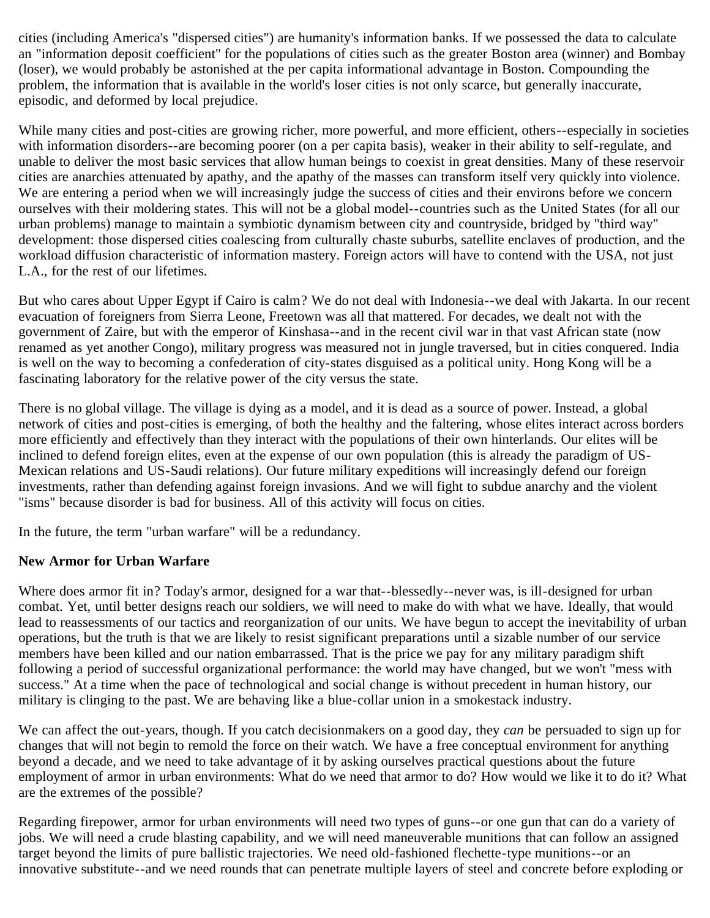cities (including America's "dispersed cities") are humanity's information banks. If we possessed the data to calculate an "information deposit coefficient" for the populations of cities such as the greater Boston area (winner) and Bombay (loser), we would probably be astonished at the per capita informational advantage in Boston. Compounding the problem, the information that is available in the world's loser cities is not only scarce, but generally inaccurate, episodic, and deformed by local prejudice.

While many cities and post-cities are growing richer, more powerful, and more efficient, others--especially in societies with information disorders--are becoming poorer (on a per capita basis), weaker in their ability to self-regulate, and unable to deliver the most basic services that allow human beings to coexist in great densities. Many of these reservoir cities are anarchies attenuated by apathy, and the apathy of the masses can transform itself very quickly into violence. We are entering a period when we will increasingly judge the success of cities and their environs before we concern ourselves with their moldering states. This will not be a global model--countries such as the United States (for all our urban problems) manage to maintain a symbiotic dynamism between city and countryside, bridged by "third way" development: those dispersed cities coalescing from culturally chaste suburbs, satellite enclaves of production, and the workload diffusion characteristic of information mastery. Foreign actors will have to contend with the USA, not just L.A., for the rest of our lifetimes.

But who cares about Upper Egypt if Cairo is calm? We do not deal with Indonesia--we deal with Jakarta. In our recent evacuation of foreigners from Sierra Leone, Freetown was all that mattered. For decades, we dealt not with the government of Zaire, but with the emperor of Kinshasa--and in the recent civil war in that vast African state (now renamed as yet another Congo), military progress was measured not in jungle traversed, but in cities conquered. India is well on the way to becoming a confederation of city-states disguised as a political unity. Hong Kong will be a fascinating laboratory for the relative power of the city versus the state.

There is no global village. The village is dying as a model, and it is dead as a source of power. Instead, a global network of cities and post-cities is emerging, of both the healthy and the faltering, whose elites interact across borders more efficiently and effectively than they interact with the populations of their own hinterlands. Our elites will be inclined to defend foreign elites, even at the expense of our own population (this is already the paradigm of US-Mexican relations and US-Saudi relations). Our future military expeditions will increasingly defend our foreign investments, rather than defending against foreign invasions. And we will fight to subdue anarchy and the violent "isms" because disorder is bad for business. All of this activity will focus on cities.

In the future, the term "urban warfare" will be a redundancy.

#### **New Armor for Urban Warfare**

Where does armor fit in? Today's armor, designed for a war that--blessedly--never was, is ill-designed for urban combat. Yet, until better designs reach our soldiers, we will need to make do with what we have. Ideally, that would lead to reassessments of our tactics and reorganization of our units. We have begun to accept the inevitability of urban operations, but the truth is that we are likely to resist significant preparations until a sizable number of our service members have been killed and our nation embarrassed. That is the price we pay for any military paradigm shift following a period of successful organizational performance: the world may have changed, but we won't "mess with success." At a time when the pace of technological and social change is without precedent in human history, our military is clinging to the past. We are behaving like a blue-collar union in a smokestack industry.

We can affect the out-years, though. If you catch decisionmakers on a good day, they *can* be persuaded to sign up for changes that will not begin to remold the force on their watch. We have a free conceptual environment for anything beyond a decade, and we need to take advantage of it by asking ourselves practical questions about the future employment of armor in urban environments: What do we need that armor to do? How would we like it to do it? What are the extremes of the possible?

Regarding firepower, armor for urban environments will need two types of guns--or one gun that can do a variety of jobs. We will need a crude blasting capability, and we will need maneuverable munitions that can follow an assigned target beyond the limits of pure ballistic trajectories. We need old-fashioned flechette-type munitions--or an innovative substitute--and we need rounds that can penetrate multiple layers of steel and concrete before exploding or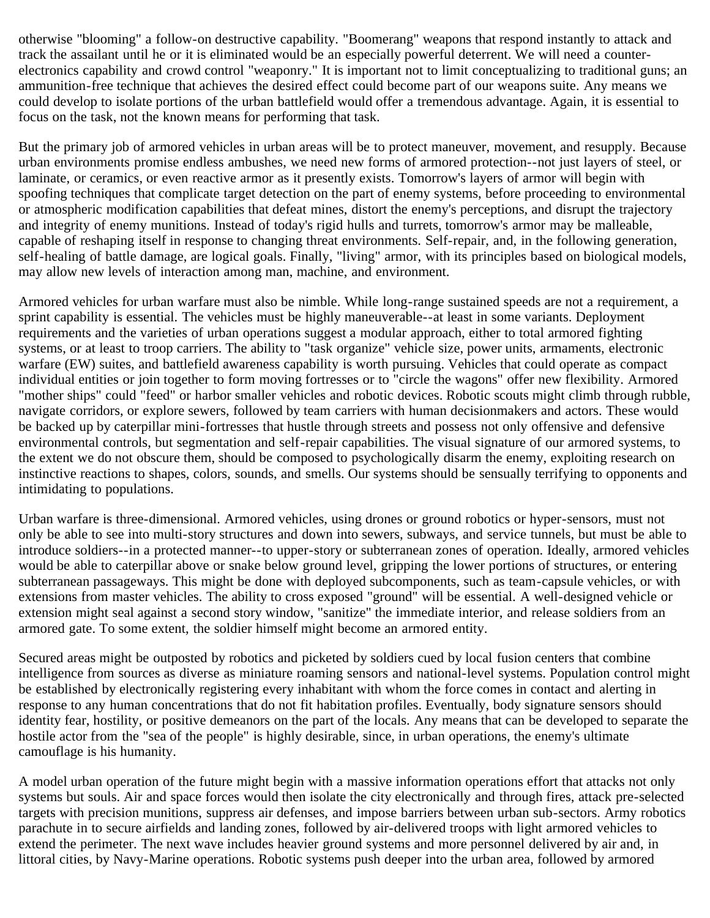otherwise "blooming" a follow-on destructive capability. "Boomerang" weapons that respond instantly to attack and track the assailant until he or it is eliminated would be an especially powerful deterrent. We will need a counterelectronics capability and crowd control "weaponry." It is important not to limit conceptualizing to traditional guns; an ammunition-free technique that achieves the desired effect could become part of our weapons suite. Any means we could develop to isolate portions of the urban battlefield would offer a tremendous advantage. Again, it is essential to focus on the task, not the known means for performing that task.

But the primary job of armored vehicles in urban areas will be to protect maneuver, movement, and resupply. Because urban environments promise endless ambushes, we need new forms of armored protection--not just layers of steel, or laminate, or ceramics, or even reactive armor as it presently exists. Tomorrow's layers of armor will begin with spoofing techniques that complicate target detection on the part of enemy systems, before proceeding to environmental or atmospheric modification capabilities that defeat mines, distort the enemy's perceptions, and disrupt the trajectory and integrity of enemy munitions. Instead of today's rigid hulls and turrets, tomorrow's armor may be malleable, capable of reshaping itself in response to changing threat environments. Self-repair, and, in the following generation, self-healing of battle damage, are logical goals. Finally, "living" armor, with its principles based on biological models, may allow new levels of interaction among man, machine, and environment.

Armored vehicles for urban warfare must also be nimble. While long-range sustained speeds are not a requirement, a sprint capability is essential. The vehicles must be highly maneuverable--at least in some variants. Deployment requirements and the varieties of urban operations suggest a modular approach, either to total armored fighting systems, or at least to troop carriers. The ability to "task organize" vehicle size, power units, armaments, electronic warfare (EW) suites, and battlefield awareness capability is worth pursuing. Vehicles that could operate as compact individual entities or join together to form moving fortresses or to "circle the wagons" offer new flexibility. Armored "mother ships" could "feed" or harbor smaller vehicles and robotic devices. Robotic scouts might climb through rubble, navigate corridors, or explore sewers, followed by team carriers with human decisionmakers and actors. These would be backed up by caterpillar mini-fortresses that hustle through streets and possess not only offensive and defensive environmental controls, but segmentation and self-repair capabilities. The visual signature of our armored systems, to the extent we do not obscure them, should be composed to psychologically disarm the enemy, exploiting research on instinctive reactions to shapes, colors, sounds, and smells. Our systems should be sensually terrifying to opponents and intimidating to populations.

Urban warfare is three-dimensional. Armored vehicles, using drones or ground robotics or hyper-sensors, must not only be able to see into multi-story structures and down into sewers, subways, and service tunnels, but must be able to introduce soldiers--in a protected manner--to upper-story or subterranean zones of operation. Ideally, armored vehicles would be able to caterpillar above or snake below ground level, gripping the lower portions of structures, or entering subterranean passageways. This might be done with deployed subcomponents, such as team-capsule vehicles, or with extensions from master vehicles. The ability to cross exposed "ground" will be essential. A well-designed vehicle or extension might seal against a second story window, "sanitize" the immediate interior, and release soldiers from an armored gate. To some extent, the soldier himself might become an armored entity.

Secured areas might be outposted by robotics and picketed by soldiers cued by local fusion centers that combine intelligence from sources as diverse as miniature roaming sensors and national-level systems. Population control might be established by electronically registering every inhabitant with whom the force comes in contact and alerting in response to any human concentrations that do not fit habitation profiles. Eventually, body signature sensors should identity fear, hostility, or positive demeanors on the part of the locals. Any means that can be developed to separate the hostile actor from the "sea of the people" is highly desirable, since, in urban operations, the enemy's ultimate camouflage is his humanity.

A model urban operation of the future might begin with a massive information operations effort that attacks not only systems but souls. Air and space forces would then isolate the city electronically and through fires, attack pre-selected targets with precision munitions, suppress air defenses, and impose barriers between urban sub-sectors. Army robotics parachute in to secure airfields and landing zones, followed by air-delivered troops with light armored vehicles to extend the perimeter. The next wave includes heavier ground systems and more personnel delivered by air and, in littoral cities, by Navy-Marine operations. Robotic systems push deeper into the urban area, followed by armored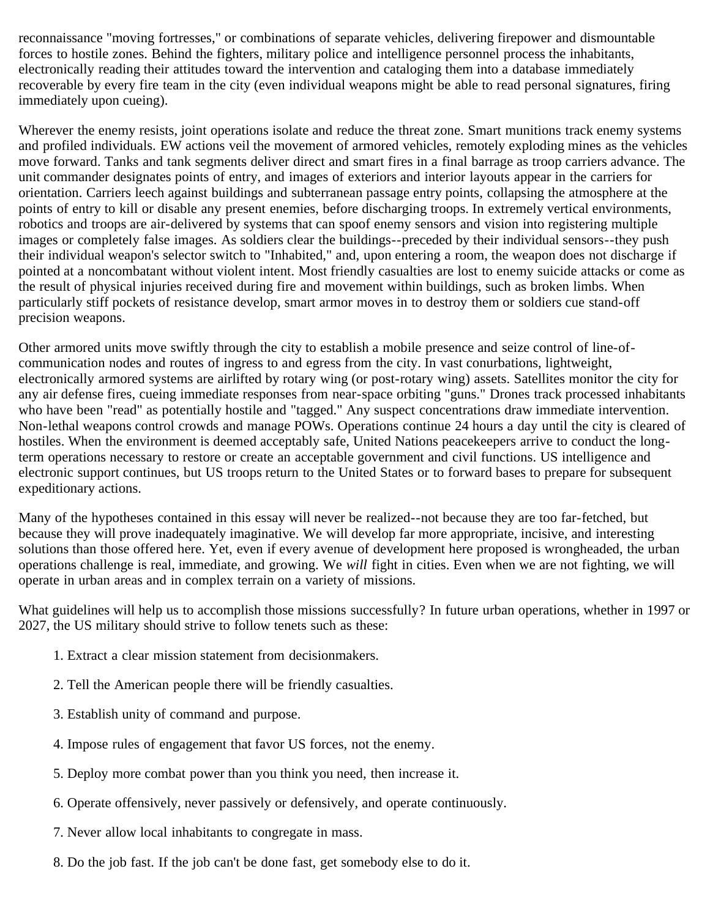reconnaissance "moving fortresses," or combinations of separate vehicles, delivering firepower and dismountable forces to hostile zones. Behind the fighters, military police and intelligence personnel process the inhabitants, electronically reading their attitudes toward the intervention and cataloging them into a database immediately recoverable by every fire team in the city (even individual weapons might be able to read personal signatures, firing immediately upon cueing).

Wherever the enemy resists, joint operations isolate and reduce the threat zone. Smart munitions track enemy systems and profiled individuals. EW actions veil the movement of armored vehicles, remotely exploding mines as the vehicles move forward. Tanks and tank segments deliver direct and smart fires in a final barrage as troop carriers advance. The unit commander designates points of entry, and images of exteriors and interior layouts appear in the carriers for orientation. Carriers leech against buildings and subterranean passage entry points, collapsing the atmosphere at the points of entry to kill or disable any present enemies, before discharging troops. In extremely vertical environments, robotics and troops are air-delivered by systems that can spoof enemy sensors and vision into registering multiple images or completely false images. As soldiers clear the buildings--preceded by their individual sensors--they push their individual weapon's selector switch to "Inhabited," and, upon entering a room, the weapon does not discharge if pointed at a noncombatant without violent intent. Most friendly casualties are lost to enemy suicide attacks or come as the result of physical injuries received during fire and movement within buildings, such as broken limbs. When particularly stiff pockets of resistance develop, smart armor moves in to destroy them or soldiers cue stand-off precision weapons.

Other armored units move swiftly through the city to establish a mobile presence and seize control of line-ofcommunication nodes and routes of ingress to and egress from the city. In vast conurbations, lightweight, electronically armored systems are airlifted by rotary wing (or post-rotary wing) assets. Satellites monitor the city for any air defense fires, cueing immediate responses from near-space orbiting "guns." Drones track processed inhabitants who have been "read" as potentially hostile and "tagged." Any suspect concentrations draw immediate intervention. Non-lethal weapons control crowds and manage POWs. Operations continue 24 hours a day until the city is cleared of hostiles. When the environment is deemed acceptably safe, United Nations peacekeepers arrive to conduct the longterm operations necessary to restore or create an acceptable government and civil functions. US intelligence and electronic support continues, but US troops return to the United States or to forward bases to prepare for subsequent expeditionary actions.

Many of the hypotheses contained in this essay will never be realized--not because they are too far-fetched, but because they will prove inadequately imaginative. We will develop far more appropriate, incisive, and interesting solutions than those offered here. Yet, even if every avenue of development here proposed is wrongheaded, the urban operations challenge is real, immediate, and growing. We *will* fight in cities. Even when we are not fighting, we will operate in urban areas and in complex terrain on a variety of missions.

What guidelines will help us to accomplish those missions successfully? In future urban operations, whether in 1997 or 2027, the US military should strive to follow tenets such as these:

- 1. Extract a clear mission statement from decisionmakers.
- 2. Tell the American people there will be friendly casualties.
- 3. Establish unity of command and purpose.
- 4. Impose rules of engagement that favor US forces, not the enemy.
- 5. Deploy more combat power than you think you need, then increase it.
- 6. Operate offensively, never passively or defensively, and operate continuously.
- 7. Never allow local inhabitants to congregate in mass.
- 8. Do the job fast. If the job can't be done fast, get somebody else to do it.